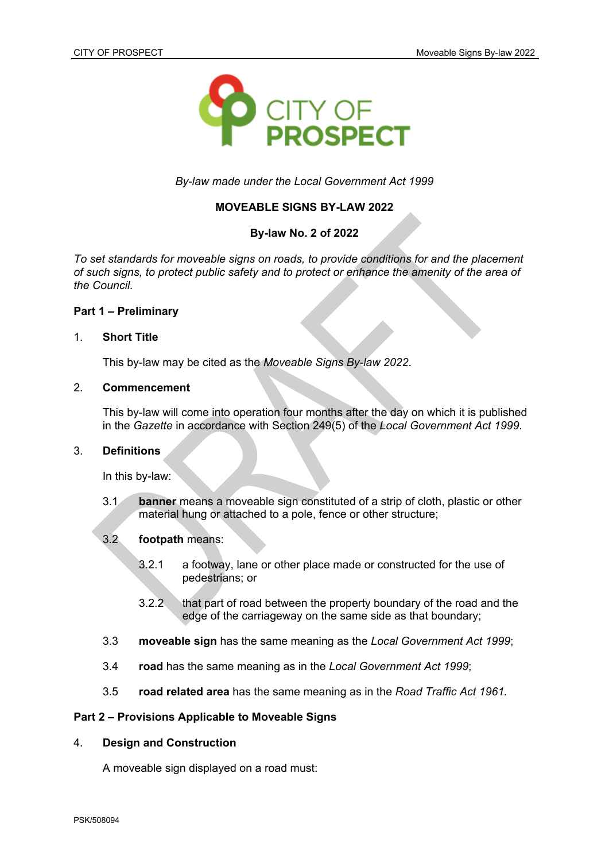

*By-law made under the Local Government Act 1999*

# **MOVEABLE SIGNS BY-LAW 2022**

# **By-law No. 2 of 2022**

*To set standards for moveable signs on roads, to provide conditions for and the placement of such signs, to protect public safety and to protect or enhance the amenity of the area of the Council.*

# **Part 1 – Preliminary**

### 1. **Short Title**

This by-law may be cited as the *Moveable Signs By-law 2022*.

# 2. **Commencement**

This by-law will come into operation four months after the day on which it is published in the *Gazette* in accordance with Section 249(5) of the *Local Government Act 1999*.

### 3. **Definitions**

In this by-law:

3.1 **banner** means a moveable sign constituted of a strip of cloth, plastic or other material hung or attached to a pole, fence or other structure;

### 3.2 **footpath** means:

- 3.2.1 a footway, lane or other place made or constructed for the use of pedestrians; or
- 3.2.2 that part of road between the property boundary of the road and the edge of the carriageway on the same side as that boundary;
- 3.3 **moveable sign** has the same meaning as the *Local Government Act 1999*;
- 3.4 **road** has the same meaning as in the *Local Government Act 1999*;
- 3.5 **road related area** has the same meaning as in the *Road Traffic Act 1961.*

### **Part 2 – Provisions Applicable to Moveable Signs**

### 4. **Design and Construction**

A moveable sign displayed on a road must: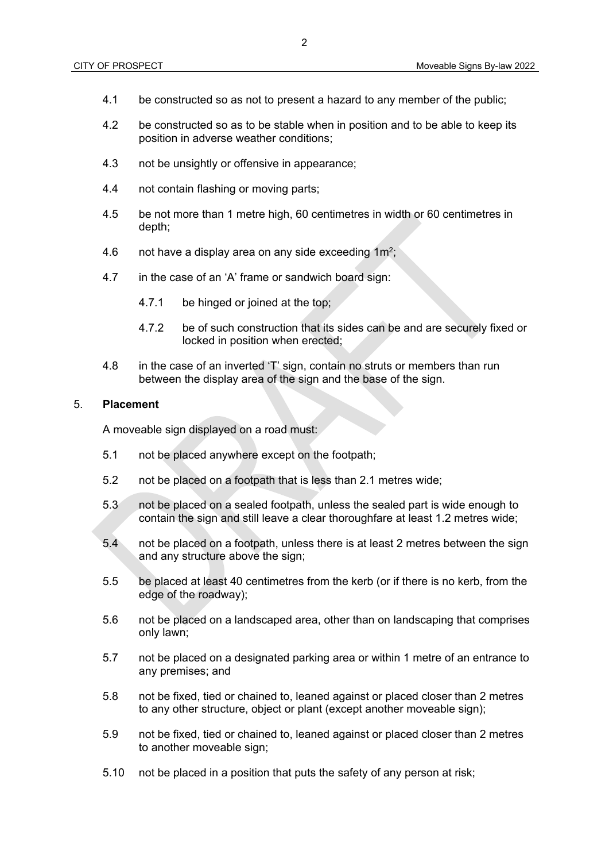- 4.1 be constructed so as not to present a hazard to any member of the public;
- 4.2 be constructed so as to be stable when in position and to be able to keep its position in adverse weather conditions;
- 4.3 not be unsightly or offensive in appearance;
- 4.4 not contain flashing or moving parts;
- 4.5 be not more than 1 metre high, 60 centimetres in width or 60 centimetres in depth;
- 4.6 and thave a display area on any side exceeding 1m<sup>2</sup>;
- 4.7 in the case of an 'A' frame or sandwich board sign:
	- 4.7.1 be hinged or joined at the top;
	- 4.7.2 be of such construction that its sides can be and are securely fixed or locked in position when erected;
- 4.8 in the case of an inverted 'T' sign, contain no struts or members than run between the display area of the sign and the base of the sign.

#### 5. **Placement**

A moveable sign displayed on a road must:

- 5.1 not be placed anywhere except on the footpath;
- 5.2 not be placed on a footpath that is less than 2.1 metres wide;
- 5.3 not be placed on a sealed footpath, unless the sealed part is wide enough to contain the sign and still leave a clear thoroughfare at least 1.2 metres wide;
- 5.4 not be placed on a footpath, unless there is at least 2 metres between the sign and any structure above the sign;
- 5.5 be placed at least 40 centimetres from the kerb (or if there is no kerb, from the edge of the roadway);
- 5.6 not be placed on a landscaped area, other than on landscaping that comprises only lawn;
- 5.7 not be placed on a designated parking area or within 1 metre of an entrance to any premises; and
- 5.8 not be fixed, tied or chained to, leaned against or placed closer than 2 metres to any other structure, object or plant (except another moveable sign);
- 5.9 not be fixed, tied or chained to, leaned against or placed closer than 2 metres to another moveable sign;
- 5.10 not be placed in a position that puts the safety of any person at risk;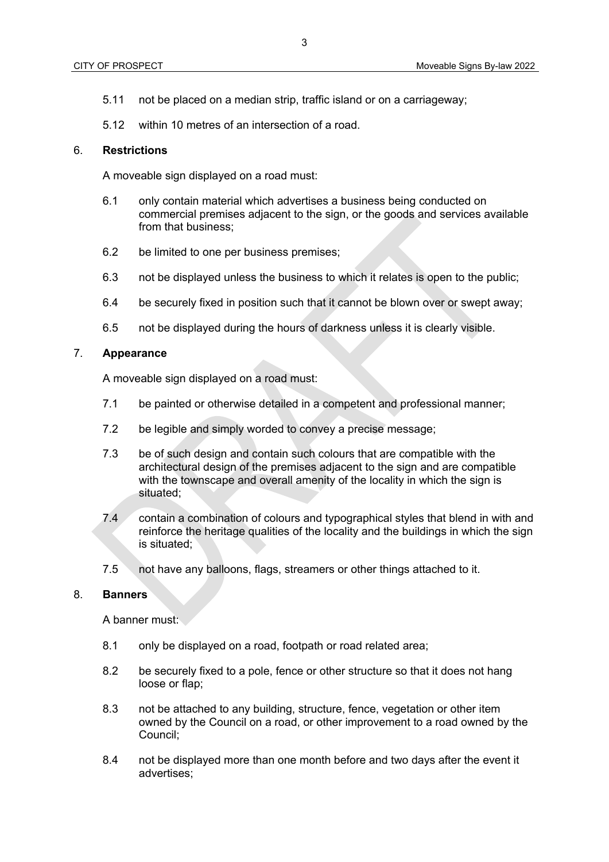- 5.11 not be placed on a median strip, traffic island or on a carriageway;
- 5.12 within 10 metres of an intersection of a road.

### 6. **Restrictions**

A moveable sign displayed on a road must:

- 6.1 only contain material which advertises a business being conducted on commercial premises adjacent to the sign, or the goods and services available from that business;
- 6.2 be limited to one per business premises;
- 6.3 not be displayed unless the business to which it relates is open to the public;
- 6.4 be securely fixed in position such that it cannot be blown over or swept away;
- 6.5 not be displayed during the hours of darkness unless it is clearly visible.

# 7. **Appearance**

A moveable sign displayed on a road must:

- 7.1 be painted or otherwise detailed in a competent and professional manner;
- 7.2 be legible and simply worded to convey a precise message;
- 7.3 be of such design and contain such colours that are compatible with the architectural design of the premises adjacent to the sign and are compatible with the townscape and overall amenity of the locality in which the sign is situated;
- 7.4 contain a combination of colours and typographical styles that blend in with and reinforce the heritage qualities of the locality and the buildings in which the sign is situated;
- 7.5 not have any balloons, flags, streamers or other things attached to it.

#### 8. **Banners**

A banner must:

- 8.1 only be displayed on a road, footpath or road related area;
- 8.2 be securely fixed to a pole, fence or other structure so that it does not hang loose or flap;
- 8.3 not be attached to any building, structure, fence, vegetation or other item owned by the Council on a road, or other improvement to a road owned by the Council;
- 8.4 not be displayed more than one month before and two days after the event it advertises;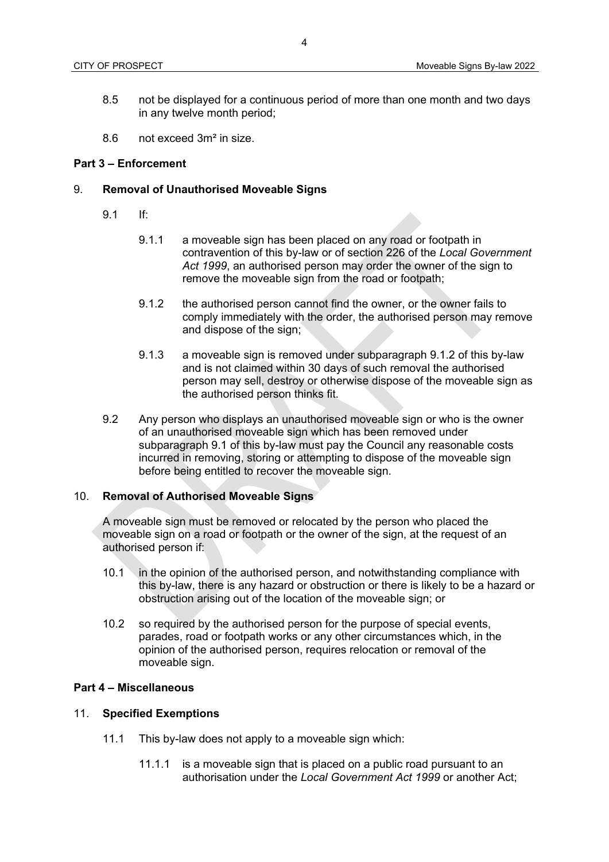- 8.5 not be displayed for a continuous period of more than one month and two days in any twelve month period;
- 8.6 not exceed 3m² in size.

## **Part 3 – Enforcement**

## 9. **Removal of Unauthorised Moveable Signs**

- 9.1 If:
	- 9.1.1 a moveable sign has been placed on any road or footpath in contravention of this by-law or of section 226 of the *Local Government Act 1999*, an authorised person may order the owner of the sign to remove the moveable sign from the road or footpath;
	- 9.1.2 the authorised person cannot find the owner, or the owner fails to comply immediately with the order, the authorised person may remove and dispose of the sign;
	- 9.1.3 a moveable sign is removed under subparagraph 9.1.2 of this by-law and is not claimed within 30 days of such removal the authorised person may sell, destroy or otherwise dispose of the moveable sign as the authorised person thinks fit.
- 9.2 Any person who displays an unauthorised moveable sign or who is the owner of an unauthorised moveable sign which has been removed under subparagraph 9.1 of this by-law must pay the Council any reasonable costs incurred in removing, storing or attempting to dispose of the moveable sign before being entitled to recover the moveable sign.

#### 10. **Removal of Authorised Moveable Signs**

A moveable sign must be removed or relocated by the person who placed the moveable sign on a road or footpath or the owner of the sign, at the request of an authorised person if:

- 10.1 in the opinion of the authorised person, and notwithstanding compliance with this by-law, there is any hazard or obstruction or there is likely to be a hazard or obstruction arising out of the location of the moveable sign; or
- 10.2 so required by the authorised person for the purpose of special events, parades, road or footpath works or any other circumstances which, in the opinion of the authorised person, requires relocation or removal of the moveable sign.

#### **Part 4 – Miscellaneous**

#### 11. **Specified Exemptions**

- 11.1 This by-law does not apply to a moveable sign which:
	- 11.1.1 is a moveable sign that is placed on a public road pursuant to an authorisation under the *Local Government Act 1999* or another Act;